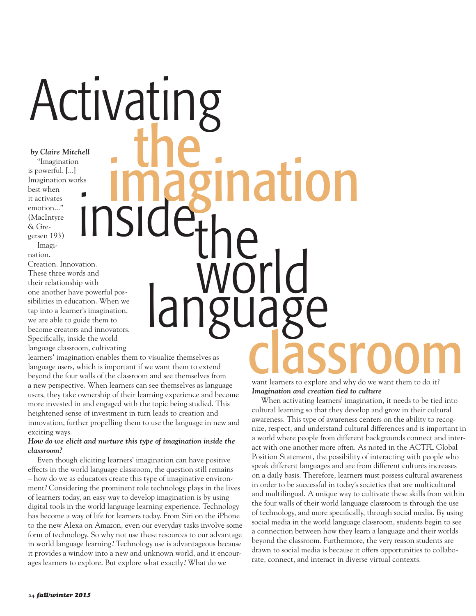## Activating

imagination

*by Claire Mitchell*  "Imagination is powerful. [...] Imagination works best when it activates emotion..." (MacIntyre & Gregersen 193) Imagi-

nation.

Creation. Innovation. These three words and their relationship with one another have powerful possibilities in education. When we tap into a learner's imagination, we are able to guide them to become creators and innovators. Specifically, inside the world language classroom, cultivating **instantant Control Property Control Property (Section 2018)**<br>
The presenting control posterior control posterior control and the classroom and sections class of the classroom and sections which is important if we want the

learners' imagination enables them to visualize themselves as language users, which is important if we want them to extend beyond the four walls of the classroom and see themselves from a new perspective. When learners can see themselves as language users, they take ownership of their learning experience and become more invested in and engaged with the topic being studied. This heightened sense of investment in turn leads to creation and innovation, further propelling them to use the language in new and exciting ways.

## *How do we elicit and nurture this type of imagination inside the classroom?*

Even though eliciting learners' imagination can have positive effects in the world language classroom, the question still remains – how do we as educators create this type of imaginative environment? Considering the prominent role technology plays in the lives of learners today, an easy way to develop imagination is by using digital tools in the world language learning experience. Technology has become a way of life for learners today. From Siri on the iPhone to the new Alexa on Amazon, even our everyday tasks involve some form of technology. So why not use these resources to our advantage in world language learning? Technology use is advantageous because it provides a window into a new and unknown world, and it encourages learners to explore. But explore what exactly? What do we

want learners to explore and why do we want them to do it? *Imagination and creation tied to culture*

When activating learners' imagination, it needs to be tied into cultural learning so that they develop and grow in their cultural awareness. This type of awareness centers on the ability to recognize, respect, and understand cultural differences and is important in a world where people from different backgrounds connect and interact with one another more often. As noted in the ACTFL Global Position Statement, the possibility of interacting with people who speak different languages and are from different cultures increases on a daily basis. Therefore, learners must possess cultural awareness in order to be successful in today's societies that are multicultural and multilingual. A unique way to cultivate these skills from within the four walls of their world language classroom is through the use of technology, and more specifically, through social media. By using social media in the world language classroom, students begin to see a connection between how they learn a language and their worlds beyond the classroom. Furthermore, the very reason students are drawn to social media is because it offers opportunities to collaborate, connect, and interact in diverse virtual contexts.